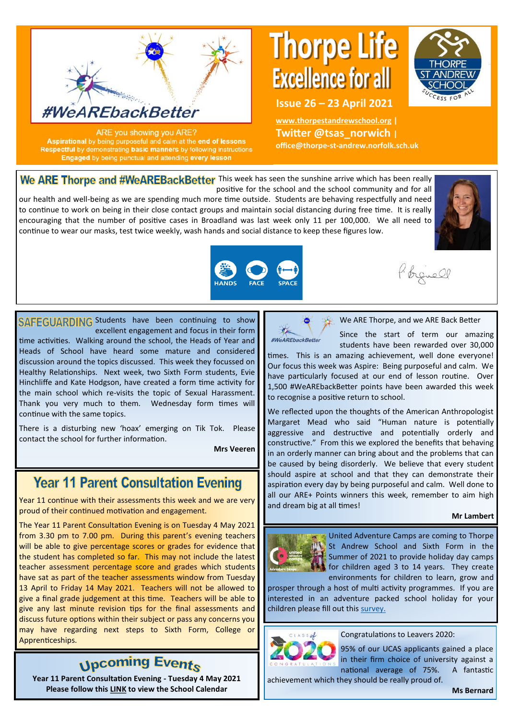

**Thorpe Life Excellence for all** 



**ARE vou showing you ARE?** Aspirational by being purposeful and calm at the end of lessons Respectful by demonstrating basic manners by following instructions Engaged by being punctual and attending every lesson

**Issue 26 – 23 April 2021** 

**[www.thorpestandrewschool.org](https://thorpestandrewschool.org.uk/) | Twitter @tsas\_norwich | office@thorpe-st-andrew.norfolk.sch.uk**

We ARE Thorpe and #WeAREBackBetter This week has seen the sunshine arrive which has been really positive for the school and the school community and for all

our health and well-being as we are spending much more time outside. Students are behaving respectfully and need to continue to work on being in their close contact groups and maintain social distancing during free time. It is really encouraging that the number of positive cases in Broadland was last week only 11 per 100,000. We all need to continue to wear our masks, test twice weekly, wash hands and social distance to keep these figures low.







SAFEGUARDING Students have been continuing to show excellent engagement and focus in their form time activities. Walking around the school, the Heads of Year and Heads of School have heard some mature and considered discussion around the topics discussed. This week they focussed on Healthy Relationships. Next week, two Sixth Form students, Evie Hinchliffe and Kate Hodgson, have created a form time activity for the main school which re-visits the topic of Sexual Harassment. Thank you very much to them. Wednesday form times will continue with the same topics.

There is a disturbing new 'hoax' emerging on Tik Tok. Please contact the school for further information.

**Mrs Veeren**

### **Year 11 Parent Consultation Evening**

Year 11 continue with their assessments this week and we are very proud of their continued motivation and engagement.

The Year 11 Parent Consultation Evening is on Tuesday 4 May 2021 from 3.30 pm to 7.00 pm. During this parent's evening teachers will be able to give percentage scores or grades for evidence that the student has completed so far. This may not include the latest teacher assessment percentage score and grades which students have sat as part of the teacher assessments window from Tuesday 13 April to Friday 14 May 2021. Teachers will not be allowed to give a final grade judgement at this time. Teachers will be able to give any last minute revision tips for the final assessments and discuss future options within their subject or pass any concerns you may have regarding next steps to Sixth Form, College or Apprenticeships.

## **Upcoming Events**

**Year 11 Parent Consultation Evening - Tuesday 4 May 2021 Please follow this [LINK](https://calendar.google.com/calendar/u/0/embed?src=calendar-tsa@yare-edu.org.uk&ctz=Europe/London) to view the School Calendar**



We ARE Thorpe, and we ARE Back Better

Since the start of term our amazing students have been rewarded over 30,000

times. This is an amazing achievement, well done everyone! Our focus this week was Aspire: Being purposeful and calm. We have particularly focused at our end of lesson routine. Over 1,500 #WeAREbackBetter points have been awarded this week to recognise a positive return to school.

We reflected upon the thoughts of the American Anthropologist Margaret Mead who said "Human nature is potentially aggressive and destructive and potentially orderly and constructive." From this we explored the benefits that behaving in an orderly manner can bring about and the problems that can be caused by being disorderly. We believe that every student should aspire at school and that they can demonstrate their aspiration every day by being purposeful and calm. Well done to all our ARE+ Points winners this week, remember to aim high and dream big at all times!

**Mr Lambert**



United Adventure Camps are coming to Thorpe St Andrew School and Sixth Form in the Summer of 2021 to provide holiday day camps for children aged 3 to 14 years. They create environments for children to learn, grow and

prosper through a host of multi activity programmes. If you are interested in an adventure packed school holiday for your children please fill out this [survey.](https://forms.office.com/Pages/ResponsePage.aspx?id=WXKx29CuH0qPWf9Zz2hjjbeUBxjpDAZKurzk0MaeYGtUNjlEQklXSFgySUE5VVNLVllEWU5XSjZLUC4u)



Congratulations to Leavers 2020:

95% of our UCAS applicants gained a place in their firm choice of university against a national average of 75%. A fantastic achievement which they should be really proud of.

**Ms Bernard**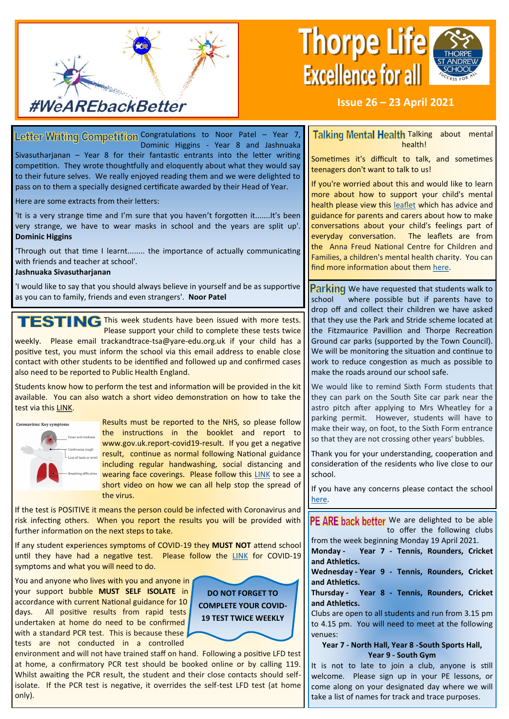

# **Thorpe Life**<br>**Excellence for all**



#### **Issue 26 – 23 April 2021**

| Letter Writing Competition Congratulations to Noor Patel - Year 7,                                                                                                                                                                                                                                                                                                                                                                                                                                                                                                                                                                                                                            | <b>Talking Mental Health Talking about mental</b>                                                                                                                                                                                                                                                                                                                                          |
|-----------------------------------------------------------------------------------------------------------------------------------------------------------------------------------------------------------------------------------------------------------------------------------------------------------------------------------------------------------------------------------------------------------------------------------------------------------------------------------------------------------------------------------------------------------------------------------------------------------------------------------------------------------------------------------------------|--------------------------------------------------------------------------------------------------------------------------------------------------------------------------------------------------------------------------------------------------------------------------------------------------------------------------------------------------------------------------------------------|
| Dominic Higgins - Year 8 and Jashnuaka                                                                                                                                                                                                                                                                                                                                                                                                                                                                                                                                                                                                                                                        | health!                                                                                                                                                                                                                                                                                                                                                                                    |
| Sivasutharjanan - Year 8 for their fantastic entrants into the letter writing                                                                                                                                                                                                                                                                                                                                                                                                                                                                                                                                                                                                                 | Sometimes it's difficult to talk, and sometimes                                                                                                                                                                                                                                                                                                                                            |
| competition. They wrote thoughtfully and eloquently about what they would say                                                                                                                                                                                                                                                                                                                                                                                                                                                                                                                                                                                                                 | teenagers don't want to talk to us!                                                                                                                                                                                                                                                                                                                                                        |
| to their future selves. We really enjoyed reading them and we were delighted to                                                                                                                                                                                                                                                                                                                                                                                                                                                                                                                                                                                                               | If you're worried about this and would like to learn                                                                                                                                                                                                                                                                                                                                       |
| pass on to them a specially designed certificate awarded by their Head of Year.                                                                                                                                                                                                                                                                                                                                                                                                                                                                                                                                                                                                               | more about how to support your child's mental                                                                                                                                                                                                                                                                                                                                              |
| Here are some extracts from their letters:                                                                                                                                                                                                                                                                                                                                                                                                                                                                                                                                                                                                                                                    | health please view this leaflet which has advice and                                                                                                                                                                                                                                                                                                                                       |
| 'It is a very strange time and I'm sure that you haven't forgotten itIt's been                                                                                                                                                                                                                                                                                                                                                                                                                                                                                                                                                                                                                | guidance for parents and carers about how to make                                                                                                                                                                                                                                                                                                                                          |
| very strange, we have to wear masks in school and the years are split up'.                                                                                                                                                                                                                                                                                                                                                                                                                                                                                                                                                                                                                    | conversations about your child's feelings part of                                                                                                                                                                                                                                                                                                                                          |
| <b>Dominic Higgins</b>                                                                                                                                                                                                                                                                                                                                                                                                                                                                                                                                                                                                                                                                        | everyday conversation. The leaflets are from                                                                                                                                                                                                                                                                                                                                               |
| Through out that time I learnt the importance of actually communicating                                                                                                                                                                                                                                                                                                                                                                                                                                                                                                                                                                                                                       | the Anna Freud National Centre for Children and                                                                                                                                                                                                                                                                                                                                            |
| with friends and teacher at school'.                                                                                                                                                                                                                                                                                                                                                                                                                                                                                                                                                                                                                                                          | Families, a children's mental health charity. You can                                                                                                                                                                                                                                                                                                                                      |
| Jashnuaka Sivasutharjanan                                                                                                                                                                                                                                                                                                                                                                                                                                                                                                                                                                                                                                                                     | find more information about them here.                                                                                                                                                                                                                                                                                                                                                     |
| 'I would like to say that you should always believe in yourself and be as supportive<br>as you can to family, friends and even strangers'. Noor Patel                                                                                                                                                                                                                                                                                                                                                                                                                                                                                                                                         | Parking We have requested that students walk to<br>school<br>where possible but if parents have to<br>drop off and collect their children we have asked                                                                                                                                                                                                                                    |
| TESTING This week students have been issued with more tests.                                                                                                                                                                                                                                                                                                                                                                                                                                                                                                                                                                                                                                  | that they use the Park and Stride scheme located at                                                                                                                                                                                                                                                                                                                                        |
| Please support your child to complete these tests twice                                                                                                                                                                                                                                                                                                                                                                                                                                                                                                                                                                                                                                       | the Fitzmaurice Pavillion and Thorpe Recreation                                                                                                                                                                                                                                                                                                                                            |
| weekly. Please email trackandtrace-tsa@yare-edu.org.uk if your child has a                                                                                                                                                                                                                                                                                                                                                                                                                                                                                                                                                                                                                    | Ground car parks (supported by the Town Council).                                                                                                                                                                                                                                                                                                                                          |
| positive test, you must inform the school via this email address to enable close                                                                                                                                                                                                                                                                                                                                                                                                                                                                                                                                                                                                              | We will be monitoring the situation and continue to                                                                                                                                                                                                                                                                                                                                        |
| contact with other students to be identified and followed up and confirmed cases                                                                                                                                                                                                                                                                                                                                                                                                                                                                                                                                                                                                              | work to reduce congestion as much as possible to                                                                                                                                                                                                                                                                                                                                           |
| also need to be reported to Public Health England.                                                                                                                                                                                                                                                                                                                                                                                                                                                                                                                                                                                                                                            | make the roads around our school safe.                                                                                                                                                                                                                                                                                                                                                     |
| Students know how to perform the test and information will be provided in the kit                                                                                                                                                                                                                                                                                                                                                                                                                                                                                                                                                                                                             | We would like to remind Sixth Form students that                                                                                                                                                                                                                                                                                                                                           |
| available. You can also watch a short video demonstration on how to take the                                                                                                                                                                                                                                                                                                                                                                                                                                                                                                                                                                                                                  | they can park on the South Site car park near the                                                                                                                                                                                                                                                                                                                                          |
| test via this LINK.                                                                                                                                                                                                                                                                                                                                                                                                                                                                                                                                                                                                                                                                           | astro pitch after applying to Mrs Wheatley for a                                                                                                                                                                                                                                                                                                                                           |
| Results must be reported to the NHS, so please follow<br>Coronavirus: Key symptoms<br>the instructions in the booklet and report to<br>Fever and tiredness<br>www.gov.uk.report-covid19-result. If you get a negative<br>result, continue as normal following National guidance<br>Loss of taste or smell<br>including regular handwashing, social distancing and<br>wearing face coverings. Please follow this LINK to see a<br>short video on how we can all help stop the spread of<br>the virus.                                                                                                                                                                                          | parking permit. However, students will have to<br>make their way, on foot, to the Sixth Form entrance<br>so that they are not crossing other years' bubbles.<br>Thank you for your understanding, cooperation and<br>consideration of the residents who live close to our<br>school.<br>If you have any concerns please contact the school                                                 |
| If the test is POSITIVE it means the person could be infected with Coronavirus and                                                                                                                                                                                                                                                                                                                                                                                                                                                                                                                                                                                                            | here.                                                                                                                                                                                                                                                                                                                                                                                      |
| risk infecting others. When you report the results you will be provided with                                                                                                                                                                                                                                                                                                                                                                                                                                                                                                                                                                                                                  | <b>PE ARE back better</b> We are delighted to be able                                                                                                                                                                                                                                                                                                                                      |
| further information on the next steps to take.                                                                                                                                                                                                                                                                                                                                                                                                                                                                                                                                                                                                                                                | to offer the following clubs                                                                                                                                                                                                                                                                                                                                                               |
| If any student experiences symptoms of COVID-19 they MUST NOT attend school<br>until they have had a negative test. Please follow the LINK for COVID-19<br>symptoms and what you will need to do.                                                                                                                                                                                                                                                                                                                                                                                                                                                                                             | from the week beginning Monday 19 April 2021.<br>Monday -<br>Year 7 - Tennis, Rounders, Cricket<br>and Athletics.<br>Wednesday - Year 9 - Tennis, Rounders, Cricket                                                                                                                                                                                                                        |
| You and anyone who lives with you and anyone in<br>your support bubble MUST SELF ISOLATE in<br><b>DO NOT FORGET TO</b><br>accordance with current National guidance for 10<br><b>COMPLETE YOUR COVID-</b><br>days. All positive results from rapid tests<br><b>19 TEST TWICE WEEKLY</b><br>undertaken at home do need to be confirmed<br>with a standard PCR test. This is because these<br>tests are not conducted in a controlled<br>environment and will not have trained staff on hand. Following a positive LFD test<br>at home, a confirmatory PCR test should be booked online or by calling 119.<br>Whilst awaiting the PCR result, the student and their close contacts should self- | and Athletics.<br>Thursday - Year 8 - Tennis, Rounders, Cricket<br>and Athletics.<br>Clubs are open to all students and run from 3.15 pm<br>to 4.15 pm. You will need to meet at the following<br>venues:<br>Year 7 - North Hall, Year 8 - South Sports Hall,<br>Year 9 - South Gym<br>It is not to late to join a club, anyone is still<br>welcome. Please sign up in your PE lessons, or |
| isolate. If the PCR test is negative, it overrides the self-test LFD test (at home                                                                                                                                                                                                                                                                                                                                                                                                                                                                                                                                                                                                            | come along on your designated day where we will                                                                                                                                                                                                                                                                                                                                            |
| only).                                                                                                                                                                                                                                                                                                                                                                                                                                                                                                                                                                                                                                                                                        | take a list of names for track and trace purposes.                                                                                                                                                                                                                                                                                                                                         |